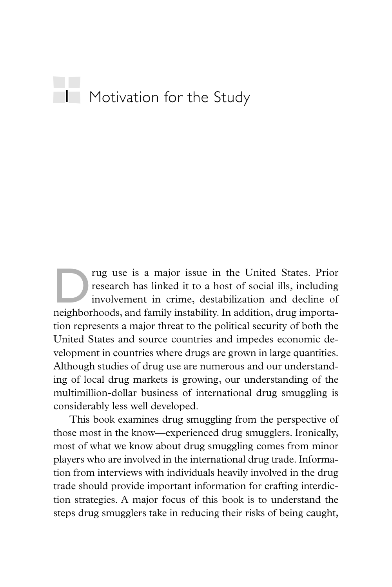## 1 **Motivation for the Study**

rug use is a major issue in the United States. Prior research has linked it to a host of social ills, including involvement in crime, destabilization and decline of neighborhoods, and family instability. In addition, drug importation represents a major threat to the political security of both the United States and source countries and impedes economic development in countries where drugs are grown in large quantities. Although studies of drug use are numerous and our understanding of local drug markets is growing, our understanding of the multimillion-dollar business of international drug smuggling is considerably less well developed.

This book examines drug smuggling from the perspective of those most in the know—experienced drug smugglers. Ironically, most of what we know about drug smuggling comes from minor players who are involved in the international drug trade. Information from interviews with individuals heavily involved in the drug trade should provide important information for crafting interdiction strategies. A major focus of this book is to understand the steps drug smugglers take in reducing their risks of being caught,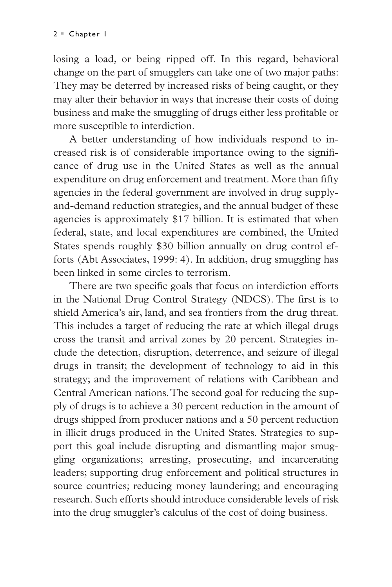losing a load, or being ripped off. In this regard, behavioral change on the part of smugglers can take one of two major paths: They may be deterred by increased risks of being caught, or they may alter their behavior in ways that increase their costs of doing business and make the smuggling of drugs either less profitable or more susceptible to interdiction.

A better understanding of how individuals respond to increased risk is of considerable importance owing to the significance of drug use in the United States as well as the annual expenditure on drug enforcement and treatment. More than fifty agencies in the federal government are involved in drug supplyand-demand reduction strategies, and the annual budget of these agencies is approximately \$17 billion. It is estimated that when federal, state, and local expenditures are combined, the United States spends roughly \$30 billion annually on drug control efforts (Abt Associates, 1999: 4). In addition, drug smuggling has been linked in some circles to terrorism.

There are two specific goals that focus on interdiction efforts in the National Drug Control Strategy (NDCS). The first is to shield America's air, land, and sea frontiers from the drug threat. This includes a target of reducing the rate at which illegal drugs cross the transit and arrival zones by 20 percent. Strategies include the detection, disruption, deterrence, and seizure of illegal drugs in transit; the development of technology to aid in this strategy; and the improvement of relations with Caribbean and Central American nations.The second goal for reducing the supply of drugs is to achieve a 30 percent reduction in the amount of drugs shipped from producer nations and a 50 percent reduction in illicit drugs produced in the United States. Strategies to support this goal include disrupting and dismantling major smuggling organizations; arresting, prosecuting, and incarcerating leaders; supporting drug enforcement and political structures in source countries; reducing money laundering; and encouraging research. Such efforts should introduce considerable levels of risk into the drug smuggler's calculus of the cost of doing business.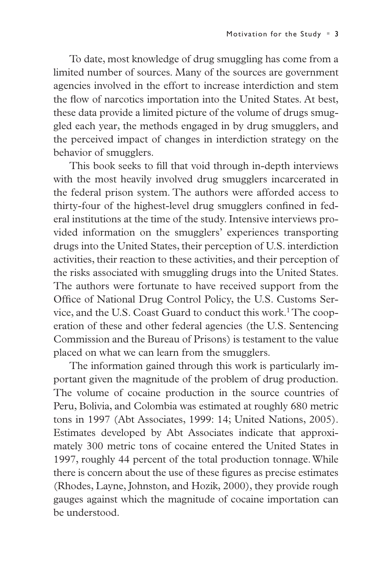To date, most knowledge of drug smuggling has come from a limited number of sources. Many of the sources are government agencies involved in the effort to increase interdiction and stem the flow of narcotics importation into the United States. At best, these data provide a limited picture of the volume of drugs smuggled each year, the methods engaged in by drug smugglers, and the perceived impact of changes in interdiction strategy on the behavior of smugglers.

This book seeks to fill that void through in-depth interviews with the most heavily involved drug smugglers incarcerated in the federal prison system. The authors were afforded access to thirty-four of the highest-level drug smugglers confined in federal institutions at the time of the study. Intensive interviews provided information on the smugglers' experiences transporting drugs into the United States, their perception of U.S. interdiction activities, their reaction to these activities, and their perception of the risks associated with smuggling drugs into the United States. The authors were fortunate to have received support from the Office of National Drug Control Policy, the U.S. Customs Service, and the U.S. Coast Guard to conduct this work.<sup>1</sup> The cooperation of these and other federal agencies (the U.S. Sentencing Commission and the Bureau of Prisons) is testament to the value placed on what we can learn from the smugglers.

The information gained through this work is particularly important given the magnitude of the problem of drug production. The volume of cocaine production in the source countries of Peru, Bolivia, and Colombia was estimated at roughly 680 metric tons in 1997 (Abt Associates, 1999: 14; United Nations, 2005). Estimates developed by Abt Associates indicate that approximately 300 metric tons of cocaine entered the United States in 1997, roughly 44 percent of the total production tonnage. While there is concern about the use of these figures as precise estimates (Rhodes, Layne, Johnston, and Hozik, 2000), they provide rough gauges against which the magnitude of cocaine importation can be understood.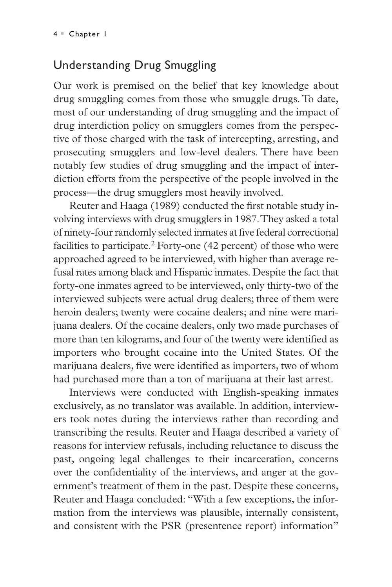## Understanding Drug Smuggling

Our work is premised on the belief that key knowledge about drug smuggling comes from those who smuggle drugs. To date, most of our understanding of drug smuggling and the impact of drug interdiction policy on smugglers comes from the perspective of those charged with the task of intercepting, arresting, and prosecuting smugglers and low-level dealers. There have been notably few studies of drug smuggling and the impact of interdiction efforts from the perspective of the people involved in the process—the drug smugglers most heavily involved.

Reuter and Haaga (1989) conducted the first notable study involving interviews with drug smugglers in 1987.They asked a total of ninety-four randomly selected inmates at five federal correctional facilities to participate.<sup>2</sup> Forty-one (42 percent) of those who were approached agreed to be interviewed, with higher than average refusal rates among black and Hispanic inmates. Despite the fact that forty-one inmates agreed to be interviewed, only thirty-two of the interviewed subjects were actual drug dealers; three of them were heroin dealers; twenty were cocaine dealers; and nine were marijuana dealers. Of the cocaine dealers, only two made purchases of more than ten kilograms, and four of the twenty were identified as importers who brought cocaine into the United States. Of the marijuana dealers, five were identified as importers, two of whom had purchased more than a ton of marijuana at their last arrest.

Interviews were conducted with English-speaking inmates exclusively, as no translator was available. In addition, interviewers took notes during the interviews rather than recording and transcribing the results. Reuter and Haaga described a variety of reasons for interview refusals, including reluctance to discuss the past, ongoing legal challenges to their incarceration, concerns over the confidentiality of the interviews, and anger at the government's treatment of them in the past. Despite these concerns, Reuter and Haaga concluded: "With a few exceptions, the information from the interviews was plausible, internally consistent, and consistent with the PSR (presentence report) information"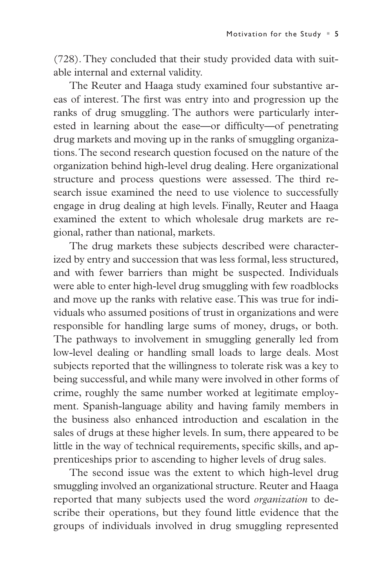(728). They concluded that their study provided data with suitable internal and external validity.

The Reuter and Haaga study examined four substantive areas of interest. The first was entry into and progression up the ranks of drug smuggling. The authors were particularly interested in learning about the ease—or difficulty—of penetrating drug markets and moving up in the ranks of smuggling organizations.The second research question focused on the nature of the organization behind high-level drug dealing. Here organizational structure and process questions were assessed. The third research issue examined the need to use violence to successfully engage in drug dealing at high levels. Finally, Reuter and Haaga examined the extent to which wholesale drug markets are regional, rather than national, markets.

The drug markets these subjects described were characterized by entry and succession that was less formal, less structured, and with fewer barriers than might be suspected. Individuals were able to enter high-level drug smuggling with few roadblocks and move up the ranks with relative ease.This was true for individuals who assumed positions of trust in organizations and were responsible for handling large sums of money, drugs, or both. The pathways to involvement in smuggling generally led from low-level dealing or handling small loads to large deals. Most subjects reported that the willingness to tolerate risk was a key to being successful, and while many were involved in other forms of crime, roughly the same number worked at legitimate employment. Spanish-language ability and having family members in the business also enhanced introduction and escalation in the sales of drugs at these higher levels. In sum, there appeared to be little in the way of technical requirements, specific skills, and apprenticeships prior to ascending to higher levels of drug sales.

The second issue was the extent to which high-level drug smuggling involved an organizational structure. Reuter and Haaga reported that many subjects used the word *organization* to describe their operations, but they found little evidence that the groups of individuals involved in drug smuggling represented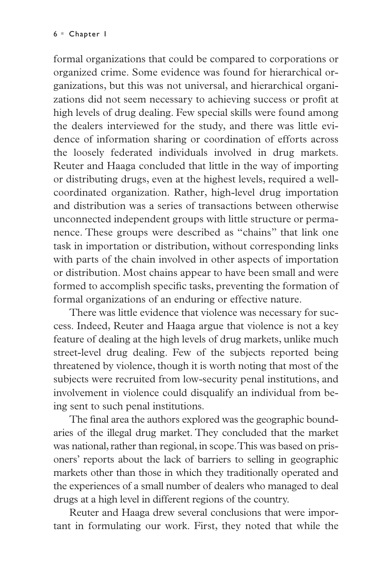formal organizations that could be compared to corporations or organized crime. Some evidence was found for hierarchical organizations, but this was not universal, and hierarchical organizations did not seem necessary to achieving success or profit at high levels of drug dealing. Few special skills were found among the dealers interviewed for the study, and there was little evidence of information sharing or coordination of efforts across the loosely federated individuals involved in drug markets. Reuter and Haaga concluded that little in the way of importing or distributing drugs, even at the highest levels, required a wellcoordinated organization. Rather, high-level drug importation and distribution was a series of transactions between otherwise unconnected independent groups with little structure or permanence. These groups were described as "chains" that link one task in importation or distribution, without corresponding links with parts of the chain involved in other aspects of importation or distribution. Most chains appear to have been small and were formed to accomplish specific tasks, preventing the formation of formal organizations of an enduring or effective nature.

There was little evidence that violence was necessary for success. Indeed, Reuter and Haaga argue that violence is not a key feature of dealing at the high levels of drug markets, unlike much street-level drug dealing. Few of the subjects reported being threatened by violence, though it is worth noting that most of the subjects were recruited from low-security penal institutions, and involvement in violence could disqualify an individual from being sent to such penal institutions.

The final area the authors explored was the geographic boundaries of the illegal drug market. They concluded that the market was national, rather than regional, in scope.This was based on prisoners' reports about the lack of barriers to selling in geographic markets other than those in which they traditionally operated and the experiences of a small number of dealers who managed to deal drugs at a high level in different regions of the country.

Reuter and Haaga drew several conclusions that were important in formulating our work. First, they noted that while the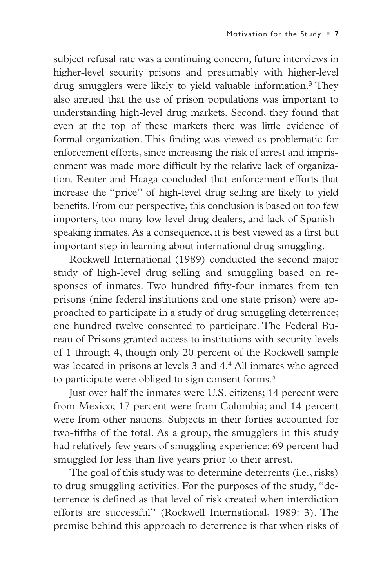subject refusal rate was a continuing concern, future interviews in higher-level security prisons and presumably with higher-level drug smugglers were likely to yield valuable information.<sup>3</sup> They also argued that the use of prison populations was important to understanding high-level drug markets. Second, they found that even at the top of these markets there was little evidence of formal organization. This finding was viewed as problematic for enforcement efforts, since increasing the risk of arrest and imprisonment was made more difficult by the relative lack of organization. Reuter and Haaga concluded that enforcement efforts that increase the "price" of high-level drug selling are likely to yield benefits. From our perspective, this conclusion is based on too few importers, too many low-level drug dealers, and lack of Spanishspeaking inmates. As a consequence, it is best viewed as a first but important step in learning about international drug smuggling.

Rockwell International (1989) conducted the second major study of high-level drug selling and smuggling based on responses of inmates. Two hundred fifty-four inmates from ten prisons (nine federal institutions and one state prison) were approached to participate in a study of drug smuggling deterrence; one hundred twelve consented to participate. The Federal Bureau of Prisons granted access to institutions with security levels of 1 through 4, though only 20 percent of the Rockwell sample was located in prisons at levels 3 and 4.4 All inmates who agreed to participate were obliged to sign consent forms.<sup>5</sup>

Just over half the inmates were U.S. citizens; 14 percent were from Mexico; 17 percent were from Colombia; and 14 percent were from other nations. Subjects in their forties accounted for two-fifths of the total. As a group, the smugglers in this study had relatively few years of smuggling experience: 69 percent had smuggled for less than five years prior to their arrest.

The goal of this study was to determine deterrents (i.e., risks) to drug smuggling activities. For the purposes of the study, "deterrence is defined as that level of risk created when interdiction efforts are successful" (Rockwell International, 1989: 3). The premise behind this approach to deterrence is that when risks of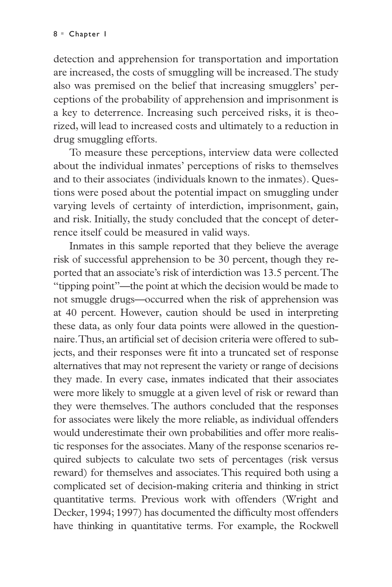detection and apprehension for transportation and importation are increased, the costs of smuggling will be increased.The study also was premised on the belief that increasing smugglers' perceptions of the probability of apprehension and imprisonment is a key to deterrence. Increasing such perceived risks, it is theorized, will lead to increased costs and ultimately to a reduction in drug smuggling efforts.

To measure these perceptions, interview data were collected about the individual inmates' perceptions of risks to themselves and to their associates (individuals known to the inmates). Questions were posed about the potential impact on smuggling under varying levels of certainty of interdiction, imprisonment, gain, and risk. Initially, the study concluded that the concept of deterrence itself could be measured in valid ways.

Inmates in this sample reported that they believe the average risk of successful apprehension to be 30 percent, though they reported that an associate's risk of interdiction was 13.5 percent.The "tipping point"—the point at which the decision would be made to not smuggle drugs—occurred when the risk of apprehension was at 40 percent. However, caution should be used in interpreting these data, as only four data points were allowed in the questionnaire.Thus, an artificial set of decision criteria were offered to subjects, and their responses were fit into a truncated set of response alternatives that may not represent the variety or range of decisions they made. In every case, inmates indicated that their associates were more likely to smuggle at a given level of risk or reward than they were themselves. The authors concluded that the responses for associates were likely the more reliable, as individual offenders would underestimate their own probabilities and offer more realistic responses for the associates. Many of the response scenarios required subjects to calculate two sets of percentages (risk versus reward) for themselves and associates. This required both using a complicated set of decision-making criteria and thinking in strict quantitative terms. Previous work with offenders (Wright and Decker, 1994; 1997) has documented the difficulty most offenders have thinking in quantitative terms. For example, the Rockwell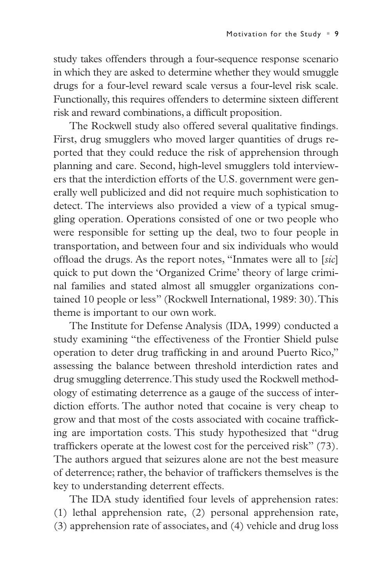study takes offenders through a four-sequence response scenario in which they are asked to determine whether they would smuggle drugs for a four-level reward scale versus a four-level risk scale. Functionally, this requires offenders to determine sixteen different risk and reward combinations, a difficult proposition.

The Rockwell study also offered several qualitative findings. First, drug smugglers who moved larger quantities of drugs reported that they could reduce the risk of apprehension through planning and care. Second, high-level smugglers told interviewers that the interdiction efforts of the U.S. government were generally well publicized and did not require much sophistication to detect. The interviews also provided a view of a typical smuggling operation. Operations consisted of one or two people who were responsible for setting up the deal, two to four people in transportation, and between four and six individuals who would offload the drugs. As the report notes, "Inmates were all to [*sic*] quick to put down the 'Organized Crime' theory of large criminal families and stated almost all smuggler organizations contained 10 people or less" (Rockwell International, 1989: 30).This theme is important to our own work.

The Institute for Defense Analysis (IDA, 1999) conducted a study examining "the effectiveness of the Frontier Shield pulse operation to deter drug trafficking in and around Puerto Rico," assessing the balance between threshold interdiction rates and drug smuggling deterrence.This study used the Rockwell methodology of estimating deterrence as a gauge of the success of interdiction efforts. The author noted that cocaine is very cheap to grow and that most of the costs associated with cocaine trafficking are importation costs. This study hypothesized that "drug traffickers operate at the lowest cost for the perceived risk" (73). The authors argued that seizures alone are not the best measure of deterrence; rather, the behavior of traffickers themselves is the key to understanding deterrent effects.

The IDA study identified four levels of apprehension rates: (1) lethal apprehension rate, (2) personal apprehension rate, (3) apprehension rate of associates, and (4) vehicle and drug loss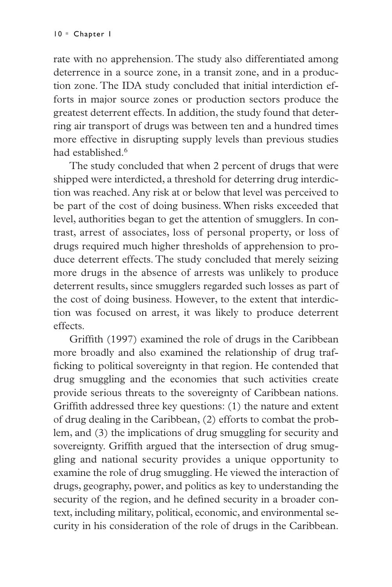rate with no apprehension. The study also differentiated among deterrence in a source zone, in a transit zone, and in a production zone. The IDA study concluded that initial interdiction efforts in major source zones or production sectors produce the greatest deterrent effects. In addition, the study found that deterring air transport of drugs was between ten and a hundred times more effective in disrupting supply levels than previous studies had established<sup>6</sup>

The study concluded that when 2 percent of drugs that were shipped were interdicted, a threshold for deterring drug interdiction was reached. Any risk at or below that level was perceived to be part of the cost of doing business. When risks exceeded that level, authorities began to get the attention of smugglers. In contrast, arrest of associates, loss of personal property, or loss of drugs required much higher thresholds of apprehension to produce deterrent effects. The study concluded that merely seizing more drugs in the absence of arrests was unlikely to produce deterrent results, since smugglers regarded such losses as part of the cost of doing business. However, to the extent that interdiction was focused on arrest, it was likely to produce deterrent effects.

Griffith (1997) examined the role of drugs in the Caribbean more broadly and also examined the relationship of drug trafficking to political sovereignty in that region. He contended that drug smuggling and the economies that such activities create provide serious threats to the sovereignty of Caribbean nations. Griffith addressed three key questions: (1) the nature and extent of drug dealing in the Caribbean, (2) efforts to combat the problem, and (3) the implications of drug smuggling for security and sovereignty. Griffith argued that the intersection of drug smuggling and national security provides a unique opportunity to examine the role of drug smuggling. He viewed the interaction of drugs, geography, power, and politics as key to understanding the security of the region, and he defined security in a broader context, including military, political, economic, and environmental security in his consideration of the role of drugs in the Caribbean.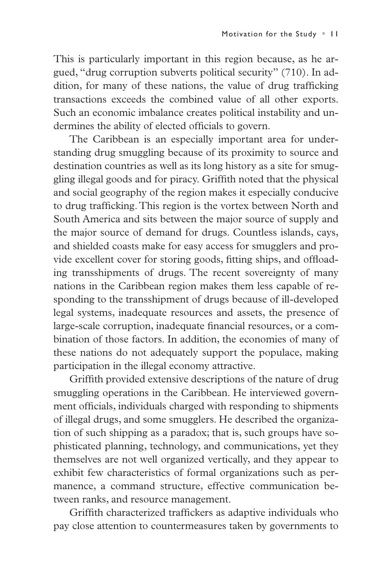This is particularly important in this region because, as he argued, "drug corruption subverts political security" (710). In addition, for many of these nations, the value of drug trafficking transactions exceeds the combined value of all other exports. Such an economic imbalance creates political instability and undermines the ability of elected officials to govern.

The Caribbean is an especially important area for understanding drug smuggling because of its proximity to source and destination countries as well as its long history as a site for smuggling illegal goods and for piracy. Griffith noted that the physical and social geography of the region makes it especially conducive to drug trafficking.This region is the vortex between North and South America and sits between the major source of supply and the major source of demand for drugs. Countless islands, cays, and shielded coasts make for easy access for smugglers and provide excellent cover for storing goods, fitting ships, and offloading transshipments of drugs. The recent sovereignty of many nations in the Caribbean region makes them less capable of responding to the transshipment of drugs because of ill-developed legal systems, inadequate resources and assets, the presence of large-scale corruption, inadequate financial resources, or a combination of those factors. In addition, the economies of many of these nations do not adequately support the populace, making participation in the illegal economy attractive.

Griffith provided extensive descriptions of the nature of drug smuggling operations in the Caribbean. He interviewed government officials, individuals charged with responding to shipments of illegal drugs, and some smugglers. He described the organization of such shipping as a paradox; that is, such groups have sophisticated planning, technology, and communications, yet they themselves are not well organized vertically, and they appear to exhibit few characteristics of formal organizations such as permanence, a command structure, effective communication between ranks, and resource management.

Griffith characterized traffickers as adaptive individuals who pay close attention to countermeasures taken by governments to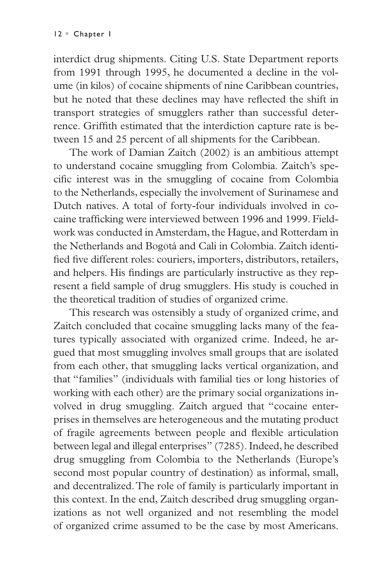interdict drug shipments. Citing U.S. State Department reports from 1991 through 1995, he documented a decline in the volume (in kilos) of cocaine shipments of nine Caribbean countries, but he noted that these declines may have reflected the shift in transport strategies of smugglers rather than successful deterrence. Griffith estimated that the interdiction capture rate is between 15 and 25 percent of all shipments for the Caribbean.

The work of Damian Zaitch (2002) is an ambitious attempt to understand cocaine smuggling from Colombia. Zaitch's specific interest was in the smuggling of cocaine from Colombia to the Netherlands, especially the involvement of Surinamese and Dutch natives. A total of forty-four individuals involved in cocaine trafficking were interviewed between 1996 and 1999. Fieldwork was conducted in Amsterdam, the Hague, and Rotterdam in the Netherlands and Bogotá and Cali in Colombia. Zaitch identified five different roles: couriers, importers, distributors, retailers, and helpers. His findings are particularly instructive as they represent a field sample of drug smugglers. His study is couched in the theoretical tradition of studies of organized crime.

This research was ostensibly a study of organized crime, and Zaitch concluded that cocaine smuggling lacks many of the features typically associated with organized crime. Indeed, he argued that most smuggling involves small groups that are isolated from each other, that smuggling lacks vertical organization, and that "families" (individuals with familial ties or long histories of working with each other) are the primary social organizations involved in drug smuggling. Zaitch argued that "cocaine enterprises in themselves are heterogeneous and the mutating product of fragile agreements between people and flexible articulation between legal and illegal enterprises" (7285). Indeed, he described drug smuggling from Colombia to the Netherlands (Europe's second most popular country of destination) as informal, small, and decentralized.The role of family is particularly important in this context. In the end, Zaitch described drug smuggling organizations as not well organized and not resembling the model of organized crime assumed to be the case by most Americans.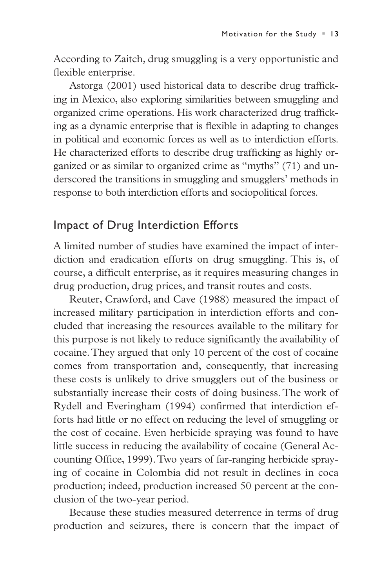According to Zaitch, drug smuggling is a very opportunistic and flexible enterprise.

Astorga (2001) used historical data to describe drug trafficking in Mexico, also exploring similarities between smuggling and organized crime operations. His work characterized drug trafficking as a dynamic enterprise that is flexible in adapting to changes in political and economic forces as well as to interdiction efforts. He characterized efforts to describe drug trafficking as highly organized or as similar to organized crime as "myths" (71) and underscored the transitions in smuggling and smugglers' methods in response to both interdiction efforts and sociopolitical forces.

## Impact of Drug Interdiction Efforts

A limited number of studies have examined the impact of interdiction and eradication efforts on drug smuggling. This is, of course, a difficult enterprise, as it requires measuring changes in drug production, drug prices, and transit routes and costs.

Reuter, Crawford, and Cave (1988) measured the impact of increased military participation in interdiction efforts and concluded that increasing the resources available to the military for this purpose is not likely to reduce significantly the availability of cocaine.They argued that only 10 percent of the cost of cocaine comes from transportation and, consequently, that increasing these costs is unlikely to drive smugglers out of the business or substantially increase their costs of doing business. The work of Rydell and Everingham (1994) confirmed that interdiction efforts had little or no effect on reducing the level of smuggling or the cost of cocaine. Even herbicide spraying was found to have little success in reducing the availability of cocaine (General Accounting Office, 1999).Two years of far-ranging herbicide spraying of cocaine in Colombia did not result in declines in coca production; indeed, production increased 50 percent at the conclusion of the two-year period.

Because these studies measured deterrence in terms of drug production and seizures, there is concern that the impact of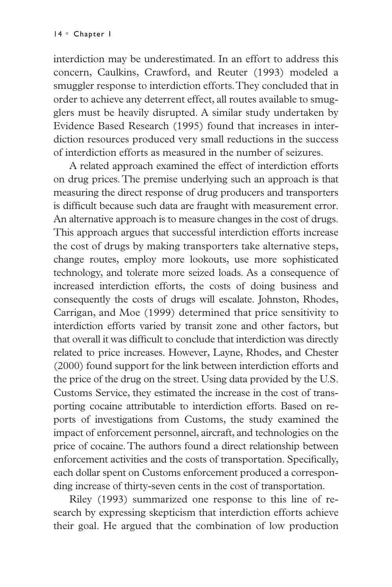interdiction may be underestimated. In an effort to address this concern, Caulkins, Crawford, and Reuter (1993) modeled a smuggler response to interdiction efforts.They concluded that in order to achieve any deterrent effect, all routes available to smugglers must be heavily disrupted. A similar study undertaken by Evidence Based Research (1995) found that increases in interdiction resources produced very small reductions in the success of interdiction efforts as measured in the number of seizures.

A related approach examined the effect of interdiction efforts on drug prices. The premise underlying such an approach is that measuring the direct response of drug producers and transporters is difficult because such data are fraught with measurement error. An alternative approach is to measure changes in the cost of drugs. This approach argues that successful interdiction efforts increase the cost of drugs by making transporters take alternative steps, change routes, employ more lookouts, use more sophisticated technology, and tolerate more seized loads. As a consequence of increased interdiction efforts, the costs of doing business and consequently the costs of drugs will escalate. Johnston, Rhodes, Carrigan, and Moe (1999) determined that price sensitivity to interdiction efforts varied by transit zone and other factors, but that overall it was difficult to conclude that interdiction was directly related to price increases. However, Layne, Rhodes, and Chester (2000) found support for the link between interdiction efforts and the price of the drug on the street. Using data provided by the U.S. Customs Service, they estimated the increase in the cost of transporting cocaine attributable to interdiction efforts. Based on reports of investigations from Customs, the study examined the impact of enforcement personnel, aircraft, and technologies on the price of cocaine. The authors found a direct relationship between enforcement activities and the costs of transportation. Specifically, each dollar spent on Customs enforcement produced a corresponding increase of thirty-seven cents in the cost of transportation.

Riley (1993) summarized one response to this line of research by expressing skepticism that interdiction efforts achieve their goal. He argued that the combination of low production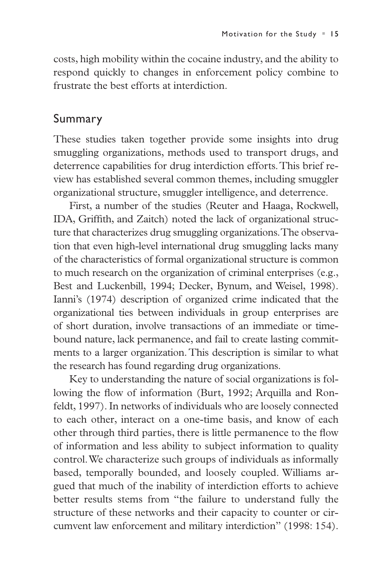costs, high mobility within the cocaine industry, and the ability to respond quickly to changes in enforcement policy combine to frustrate the best efforts at interdiction.

## Summary

These studies taken together provide some insights into drug smuggling organizations, methods used to transport drugs, and deterrence capabilities for drug interdiction efforts.This brief review has established several common themes, including smuggler organizational structure, smuggler intelligence, and deterrence.

First, a number of the studies (Reuter and Haaga, Rockwell, IDA, Griffith, and Zaitch) noted the lack of organizational structure that characterizes drug smuggling organizations.The observation that even high-level international drug smuggling lacks many of the characteristics of formal organizational structure is common to much research on the organization of criminal enterprises (e.g., Best and Luckenbill, 1994; Decker, Bynum, and Weisel, 1998). Ianni's (1974) description of organized crime indicated that the organizational ties between individuals in group enterprises are of short duration, involve transactions of an immediate or timebound nature, lack permanence, and fail to create lasting commitments to a larger organization. This description is similar to what the research has found regarding drug organizations.

Key to understanding the nature of social organizations is following the flow of information (Burt, 1992; Arquilla and Ronfeldt, 1997). In networks of individuals who are loosely connected to each other, interact on a one-time basis, and know of each other through third parties, there is little permanence to the flow of information and less ability to subject information to quality control.We characterize such groups of individuals as informally based, temporally bounded, and loosely coupled. Williams argued that much of the inability of interdiction efforts to achieve better results stems from "the failure to understand fully the structure of these networks and their capacity to counter or circumvent law enforcement and military interdiction" (1998: 154).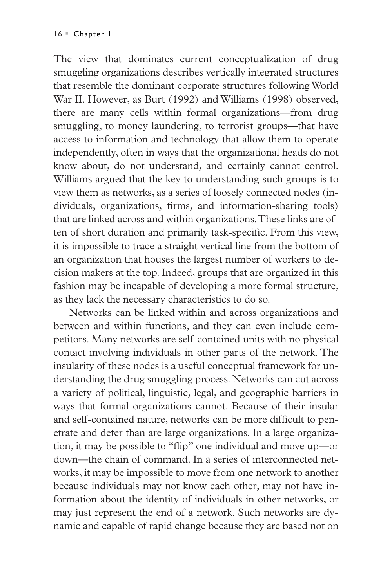The view that dominates current conceptualization of drug smuggling organizations describes vertically integrated structures that resemble the dominant corporate structures following World War II. However, as Burt (1992) and Williams (1998) observed, there are many cells within formal organizations—from drug smuggling, to money laundering, to terrorist groups—that have access to information and technology that allow them to operate independently, often in ways that the organizational heads do not know about, do not understand, and certainly cannot control. Williams argued that the key to understanding such groups is to view them as networks, as a series of loosely connected nodes (individuals, organizations, firms, and information-sharing tools) that are linked across and within organizations.These links are often of short duration and primarily task-specific. From this view, it is impossible to trace a straight vertical line from the bottom of an organization that houses the largest number of workers to decision makers at the top. Indeed, groups that are organized in this fashion may be incapable of developing a more formal structure, as they lack the necessary characteristics to do so.

Networks can be linked within and across organizations and between and within functions, and they can even include competitors. Many networks are self-contained units with no physical contact involving individuals in other parts of the network. The insularity of these nodes is a useful conceptual framework for understanding the drug smuggling process. Networks can cut across a variety of political, linguistic, legal, and geographic barriers in ways that formal organizations cannot. Because of their insular and self-contained nature, networks can be more difficult to penetrate and deter than are large organizations. In a large organization, it may be possible to "flip" one individual and move up—or down—the chain of command. In a series of interconnected networks, it may be impossible to move from one network to another because individuals may not know each other, may not have information about the identity of individuals in other networks, or may just represent the end of a network. Such networks are dynamic and capable of rapid change because they are based not on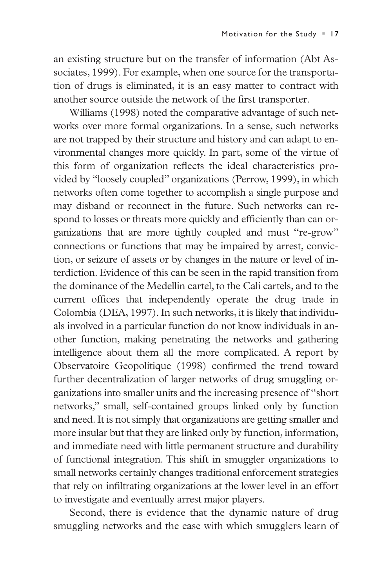an existing structure but on the transfer of information (Abt Associates, 1999). For example, when one source for the transportation of drugs is eliminated, it is an easy matter to contract with another source outside the network of the first transporter.

Williams (1998) noted the comparative advantage of such networks over more formal organizations. In a sense, such networks are not trapped by their structure and history and can adapt to environmental changes more quickly. In part, some of the virtue of this form of organization reflects the ideal characteristics provided by "loosely coupled" organizations (Perrow, 1999), in which networks often come together to accomplish a single purpose and may disband or reconnect in the future. Such networks can respond to losses or threats more quickly and efficiently than can organizations that are more tightly coupled and must "re-grow" connections or functions that may be impaired by arrest, conviction, or seizure of assets or by changes in the nature or level of interdiction. Evidence of this can be seen in the rapid transition from the dominance of the Medellin cartel, to the Cali cartels, and to the current offices that independently operate the drug trade in Colombia (DEA, 1997). In such networks, it is likely that individuals involved in a particular function do not know individuals in another function, making penetrating the networks and gathering intelligence about them all the more complicated. A report by Observatoire Geopolitique (1998) confirmed the trend toward further decentralization of larger networks of drug smuggling organizations into smaller units and the increasing presence of "short networks," small, self-contained groups linked only by function and need. It is not simply that organizations are getting smaller and more insular but that they are linked only by function, information, and immediate need with little permanent structure and durability of functional integration. This shift in smuggler organizations to small networks certainly changes traditional enforcement strategies that rely on infiltrating organizations at the lower level in an effort to investigate and eventually arrest major players.

Second, there is evidence that the dynamic nature of drug smuggling networks and the ease with which smugglers learn of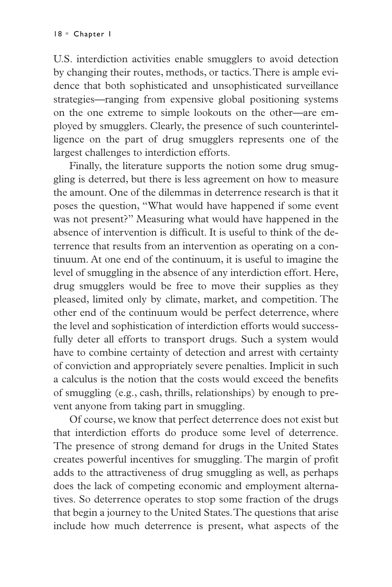U.S. interdiction activities enable smugglers to avoid detection by changing their routes, methods, or tactics.There is ample evidence that both sophisticated and unsophisticated surveillance strategies—ranging from expensive global positioning systems on the one extreme to simple lookouts on the other—are employed by smugglers. Clearly, the presence of such counterintelligence on the part of drug smugglers represents one of the largest challenges to interdiction efforts.

Finally, the literature supports the notion some drug smuggling is deterred, but there is less agreement on how to measure the amount. One of the dilemmas in deterrence research is that it poses the question, "What would have happened if some event was not present?" Measuring what would have happened in the absence of intervention is difficult. It is useful to think of the deterrence that results from an intervention as operating on a continuum. At one end of the continuum, it is useful to imagine the level of smuggling in the absence of any interdiction effort. Here, drug smugglers would be free to move their supplies as they pleased, limited only by climate, market, and competition. The other end of the continuum would be perfect deterrence, where the level and sophistication of interdiction efforts would successfully deter all efforts to transport drugs. Such a system would have to combine certainty of detection and arrest with certainty of conviction and appropriately severe penalties. Implicit in such a calculus is the notion that the costs would exceed the benefits of smuggling (e.g., cash, thrills, relationships) by enough to prevent anyone from taking part in smuggling.

Of course, we know that perfect deterrence does not exist but that interdiction efforts do produce some level of deterrence. The presence of strong demand for drugs in the United States creates powerful incentives for smuggling. The margin of profit adds to the attractiveness of drug smuggling as well, as perhaps does the lack of competing economic and employment alternatives. So deterrence operates to stop some fraction of the drugs that begin a journey to the United States.The questions that arise include how much deterrence is present, what aspects of the